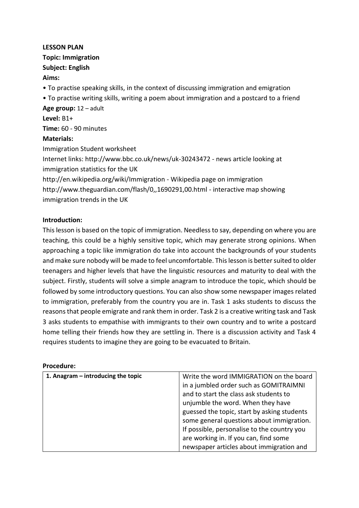## **LESSON PLAN**

**Topic: Immigration Subject: English Aims:**

• To practise speaking skills, in the context of discussing immigration and emigration • To practise writing skills, writing a poem about immigration and a postcard to a friend

**Age group:** 12 – adult **Level:** B1+

**Time:** 60 - 90 minutes

# **Materials:**

Immigration Student worksheet Internet links: http://www.bbc.co.uk/news/uk-30243472 - news article looking at immigration statistics for the UK http://en.wikipedia.org/wiki/Immigration - Wikipedia page on immigration http://www.theguardian.com/flash/0,,1690291,00.html - interactive map showing

immigration trends in the UK

# **Introduction:**

This lesson is based on the topic of immigration. Needless to say, depending on where you are teaching, this could be a highly sensitive topic, which may generate strong opinions. When approaching a topic like immigration do take into account the backgrounds of your students and make sure nobody will be made to feel uncomfortable. This lesson is better suited to older teenagers and higher levels that have the linguistic resources and maturity to deal with the subject. Firstly, students will solve a simple anagram to introduce the topic, which should be followed by some introductory questions. You can also show some newspaper images related to immigration, preferably from the country you are in. Task 1 asks students to discuss the reasons that people emigrate and rank them in order. Task 2 is a creative writing task and Task 3 asks students to empathise with immigrants to their own country and to write a postcard home telling their friends how they are settling in. There is a discussion activity and Task 4 requires students to imagine they are going to be evacuated to Britain.

### **Procedure:**

| 1. Anagram – introducing the topic | Write the word IMMIGRATION on the board     |
|------------------------------------|---------------------------------------------|
|                                    | in a jumbled order such as GOMITRAIMNI      |
|                                    | and to start the class ask students to      |
|                                    | unjumble the word. When they have           |
|                                    | guessed the topic, start by asking students |
|                                    | some general questions about immigration.   |
|                                    | If possible, personalise to the country you |
|                                    | are working in. If you can, find some       |
|                                    | newspaper articles about immigration and    |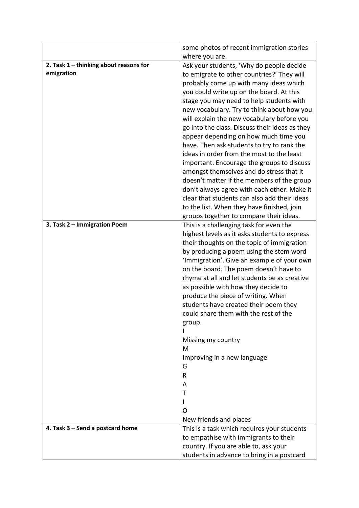|                                          | some photos of recent immigration stories                                             |
|------------------------------------------|---------------------------------------------------------------------------------------|
|                                          | where you are.                                                                        |
| 2. Task $1$ - thinking about reasons for | Ask your students, 'Why do people decide                                              |
| emigration                               | to emigrate to other countries?' They will                                            |
|                                          | probably come up with many ideas which                                                |
|                                          | you could write up on the board. At this                                              |
|                                          | stage you may need to help students with                                              |
|                                          | new vocabulary. Try to think about how you                                            |
|                                          | will explain the new vocabulary before you                                            |
|                                          | go into the class. Discuss their ideas as they                                        |
|                                          | appear depending on how much time you                                                 |
|                                          | have. Then ask students to try to rank the                                            |
|                                          | ideas in order from the most to the least                                             |
|                                          | important. Encourage the groups to discuss                                            |
|                                          | amongst themselves and do stress that it                                              |
|                                          | doesn't matter if the members of the group                                            |
|                                          | don't always agree with each other. Make it                                           |
|                                          | clear that students can also add their ideas                                          |
|                                          | to the list. When they have finished, join<br>groups together to compare their ideas. |
| 3. Task 2 - Immigration Poem             | This is a challenging task for even the                                               |
|                                          | highest levels as it asks students to express                                         |
|                                          | their thoughts on the topic of immigration                                            |
|                                          | by producing a poem using the stem word                                               |
|                                          | 'Immigration'. Give an example of your own                                            |
|                                          | on the board. The poem doesn't have to                                                |
|                                          | rhyme at all and let students be as creative                                          |
|                                          | as possible with how they decide to                                                   |
|                                          | produce the piece of writing. When                                                    |
|                                          | students have created their poem they                                                 |
|                                          | could share them with the rest of the                                                 |
|                                          | group.                                                                                |
|                                          |                                                                                       |
|                                          | Missing my country                                                                    |
|                                          | M                                                                                     |
|                                          | Improving in a new language                                                           |
|                                          | G                                                                                     |
|                                          | R                                                                                     |
|                                          | A                                                                                     |
|                                          | T                                                                                     |
|                                          |                                                                                       |
|                                          | O                                                                                     |
|                                          | New friends and places                                                                |
| 4. Task 3 - Send a postcard home         | This is a task which requires your students                                           |
|                                          | to empathise with immigrants to their<br>country. If you are able to, ask your        |
|                                          | students in advance to bring in a postcard                                            |
|                                          |                                                                                       |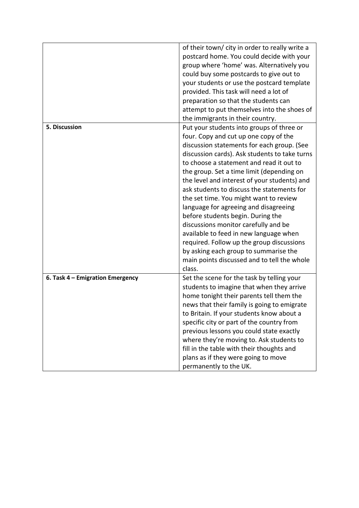| 5. Discussion                    | of their town/ city in order to really write a<br>postcard home. You could decide with your<br>group where 'home' was. Alternatively you<br>could buy some postcards to give out to<br>your students or use the postcard template<br>provided. This task will need a lot of<br>preparation so that the students can<br>attempt to put themselves into the shoes of<br>the immigrants in their country.<br>Put your students into groups of three or<br>four. Copy and cut up one copy of the<br>discussion statements for each group. (See |
|----------------------------------|--------------------------------------------------------------------------------------------------------------------------------------------------------------------------------------------------------------------------------------------------------------------------------------------------------------------------------------------------------------------------------------------------------------------------------------------------------------------------------------------------------------------------------------------|
|                                  | discussion cards). Ask students to take turns<br>to choose a statement and read it out to<br>the group. Set a time limit (depending on<br>the level and interest of your students) and<br>ask students to discuss the statements for<br>the set time. You might want to review<br>language for agreeing and disagreeing<br>before students begin. During the<br>discussions monitor carefully and be<br>available to feed in new language when<br>required. Follow up the group discussions                                                |
|                                  | by asking each group to summarise the<br>main points discussed and to tell the whole<br>class.                                                                                                                                                                                                                                                                                                                                                                                                                                             |
| 6. Task 4 - Emigration Emergency | Set the scene for the task by telling your<br>students to imagine that when they arrive<br>home tonight their parents tell them the<br>news that their family is going to emigrate<br>to Britain. If your students know about a<br>specific city or part of the country from<br>previous lessons you could state exactly<br>where they're moving to. Ask students to<br>fill in the table with their thoughts and<br>plans as if they were going to move<br>permanently to the UK.                                                         |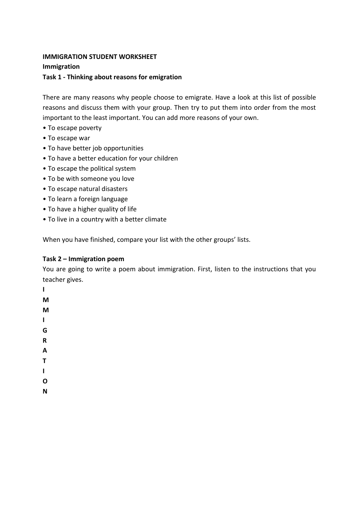# **IMMIGRATION STUDENT WORKSHEET Immigration Task 1 - Thinking about reasons for emigration**

There are many reasons why people choose to emigrate. Have a look at this list of possible reasons and discuss them with your group. Then try to put them into order from the most important to the least important. You can add more reasons of your own.

- To escape poverty
- To escape war
- To have better job opportunities
- To have a better education for your children
- To escape the political system
- To be with someone you love
- To escape natural disasters
- To learn a foreign language
- To have a higher quality of life
- To live in a country with a better climate

When you have finished, compare your list with the other groups' lists.

# **Task 2 – Immigration poem**

You are going to write a poem about immigration. First, listen to the instructions that you teacher gives.

**I** 

- **M**
- **M**
- **I**
- **G**
- **R**
- **A**
- **T**
- **I**
- **O**
- **N**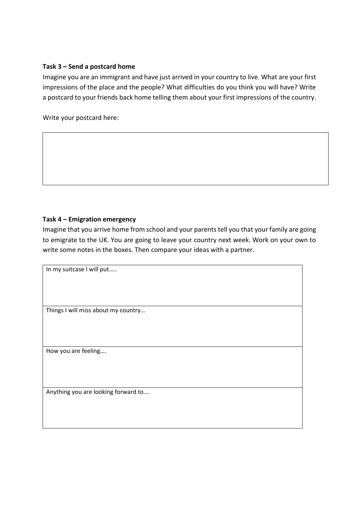### **Task 3 – Send a postcard home**

Imagine you are an immigrant and have just arrived in your country to live. What are your first impressions of the place and the people? What difficulties do you think you will have? Write a postcard to your friends back home telling them about your first impressions of the country.

Write your postcard here:

# **Task 4 – Emigration emergency**

Imagine that you arrive home from school and your parents tell you that your family are going to emigrate to the UK. You are going to leave your country next week. Work on your own to write some notes in the boxes. Then compare your ideas with a partner.

In my suitcase I will put…..

Things I will miss about my country…

How you are feeling….

Anything you are looking forward to….